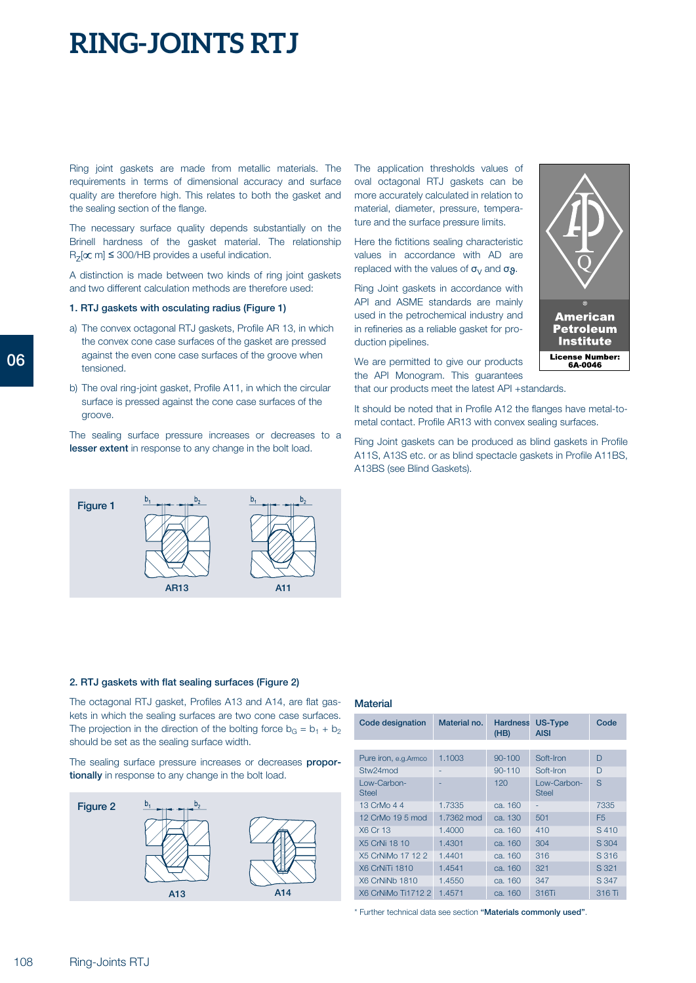### **RING-JOINTS RTJ**

Ring joint gaskets are made from metallic materials. The requirements in terms of dimensional accuracy and surface quality are therefore high. This relates to both the gasket and the sealing section of the flange.

The necessary surface quality depends substantially on the Brinell hardness of the gasket material. The relationship  $R_7$   $\propto$  m]  $\leq$  300/HB provides a useful indication.

A distinction is made between two kinds of ring joint gaskets and two different calculation methods are therefore used:

#### **1. RTJ gaskets with osculating radius (Figure 1)**

- a) The convex octagonal RTJ gaskets, Profile AR 13, in which the convex cone case surfaces of the gasket are pressed against the even cone case surfaces of the groove when tensioned.
- b) The oval ring-joint gasket, Profile A11, in which the circular surface is pressed against the cone case surfaces of the groove.

The sealing surface pressure increases or decreases to a **lesser extent** in response to any change in the bolt load.



The application thresholds values of oval octagonal RTJ gaskets can be more accurately calculated in relation to material, diameter, pressure, temperature and the surface pressure limits.

Here the fictitions sealing characteristic values in accordance with AD are replaced with the values of  $\sigma_v$  and  $\sigma_{\mathbf{S}}$ .

Ring Joint gaskets in accordance with API and ASME standards are mainly used in the petrochemical industry and in refineries as a reliable gasket for production pipelines.

We are permitted to give our products the API Monogram. This guarantees that our products meet the latest API +standards.

It should be noted that in Profile A12 the flanges have metal-tometal contact. Profile AR13 with convex sealing surfaces.

A11S, A13S etc. or as blind spectacle gaskets in Profile A11BS, A13BS (see Blind Gaskets).



# Ring Joint gaskets can be produced as blind gaskets in Profile

#### **2. RTJ gaskets with flat sealing surfaces (Figure 2)**

The octagonal RTJ gasket, Profiles A13 and A14, are flat gaskets in which the sealing surfaces are two cone case surfaces. The projection in the direction of the bolting force  $b_G = b_1 + b_2$ should be set as the sealing surface width.

The sealing surface pressure increases or decreases **proportionally** in response to any change in the bolt load.



#### **Material**

| Code designation            | Material no.<br><b>Hardness</b><br>(HB) |            | <b>US-Type</b><br><b>AISI</b> | Code           |
|-----------------------------|-----------------------------------------|------------|-------------------------------|----------------|
|                             |                                         |            |                               |                |
| Pure iron, e.g.Armco        | 1.1003                                  | $90 - 100$ | Soft-Iron                     | D              |
| Stw <sub>24</sub> mod       |                                         | $90 - 110$ | Soft-Iron                     | D              |
| Low-Carbon-<br><b>Steel</b> |                                         | 120        | Low-Carbon-<br><b>Steel</b>   | S              |
| 13 CrMo 4 4                 | 1.7335                                  | ca. 160    |                               | 7335           |
| 12 CrMo 19 5 mod            | 1.7362 mod                              | ca. 130    | 501                           | F <sub>5</sub> |
| X6 Cr 13                    | 1.4000                                  | ca. 160    | 410                           | S410           |
| X5 CrNi 18 10               | 1.4301                                  | ca. 160    | 304                           | S 304          |
| X5 CrNiMo 17 12 2           | 1.4401                                  | ca. 160    | 316                           | S 316          |
| <b>X6 CrNiTi 1810</b>       | 1.4541                                  | ca. 160    | 321                           | S 321          |
| X6 CrNiNb 1810              | 1.4550                                  | ca. 160    | 347                           | S 347          |
| <b>X6 CrNiMo Ti1712 2</b>   | 1.4571                                  | ca. 160    | 316Ti                         | 316 Ti         |

\* Further technical data see section **"Materials commonly used"**.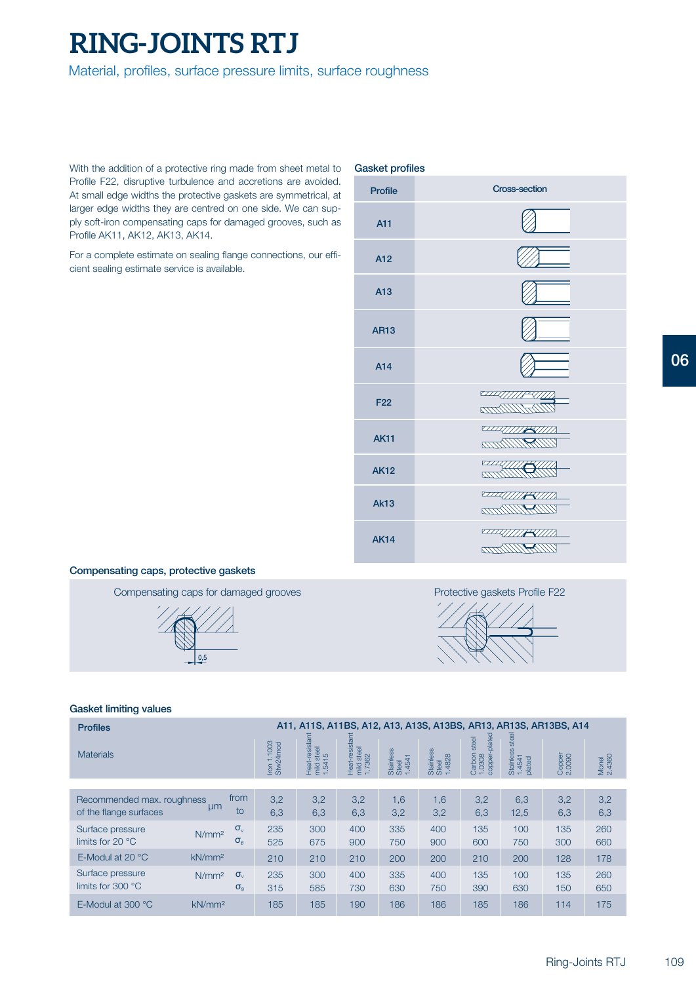### **RING-JOINTS RTJ**

Material, profiles, surface pressure limits, surface roughness

With the addition of a protective ring made from sheet metal to Profile F22, disruptive turbulence and accretions are avoided. At small edge widths the protective gaskets are symmetrical, at larger edge widths they are centred on one side. We can supply soft-iron compensating caps for damaged grooves, such as Profile AK11, AK12, AK13, AK14.

For a complete estimate on sealing flange connections, our efficient sealing estimate service is available.



### **Compensating caps, protective gaskets**

Compensating caps for damaged grooves **Protective gaskets Profile F22** 





#### **Gasket limiting values**

| <b>Profiles</b>                                |                    |                  |                                 |                                                 |                                       |                              |                                               |                                                  |                                               | A11, A11S, A11BS, A12, A13, A13S, A13BS, AR13, AR13S, AR13BS, A14 |                 |
|------------------------------------------------|--------------------|------------------|---------------------------------|-------------------------------------------------|---------------------------------------|------------------------------|-----------------------------------------------|--------------------------------------------------|-----------------------------------------------|-------------------------------------------------------------------|-----------------|
| <b>Materials</b>                               |                    |                  | 1003<br>Iron 1.1003<br>Stw24mod | Heat-resistant<br>mild steel<br>1.5415<br>steel | Heat-resistan<br>mild steel<br>1.7362 | Stainless<br>Steel<br>1.4541 | Stainless<br>Steel<br>.4828<br>$\overline{ }$ | plated<br>steel<br>Carbon :<br>1.0308<br>copper- | steel<br><b>Stainless</b><br>1.4541<br>plated | Copper<br>2.0090                                                  | Monel<br>2.4360 |
|                                                |                    |                  |                                 |                                                 |                                       |                              |                                               |                                                  |                                               |                                                                   |                 |
| Recommended max. roughness                     | μm                 | from             | 3,2                             | 3,2                                             | 3,2                                   | 1,6                          | 1,6                                           | 3,2                                              | 6,3                                           | 3,2                                                               | 3,2             |
| of the flange surfaces                         |                    | to               | 6,3                             | 6,3                                             | 6,3                                   | 3,2                          | 3,2                                           | 6,3                                              | 12,5                                          | 6,3                                                               | 6,3             |
| Surface pressure                               |                    | $\sigma_{v}$     | 235                             | 300                                             | 400                                   | 335                          | 400                                           | 135                                              | 100                                           | 135                                                               | 260             |
| N/mm <sup>2</sup><br>limits for 20 $\degree$ C |                    | $\sigma_{\rm a}$ | 525                             | 675                                             | 900                                   | 750                          | 900                                           | 600                                              | 750                                           | 300                                                               | 660             |
| E-Modul at 20 °C                               | kN/mm <sup>2</sup> |                  | 210                             | 210                                             | 210                                   | 200                          | 200                                           | 210                                              | 200                                           | 128                                                               | 178             |
| Surface pressure                               | N/mm <sup>2</sup>  | $\sigma_{v}$     | 235                             | 300                                             | 400                                   | 335                          | 400                                           | 135                                              | 100                                           | 135                                                               | 260             |
| limits for 300 $\degree$ C                     |                    | $\sigma_{\rm s}$ | 315                             | 585                                             | 730                                   | 630                          | 750                                           | 390                                              | 630                                           | 150                                                               | 650             |
| E-Modul at 300 °C                              | kN/mm <sup>2</sup> |                  | 185                             | 185                                             | 190                                   | 186                          | 186                                           | 185                                              | 186                                           | 114                                                               | 175             |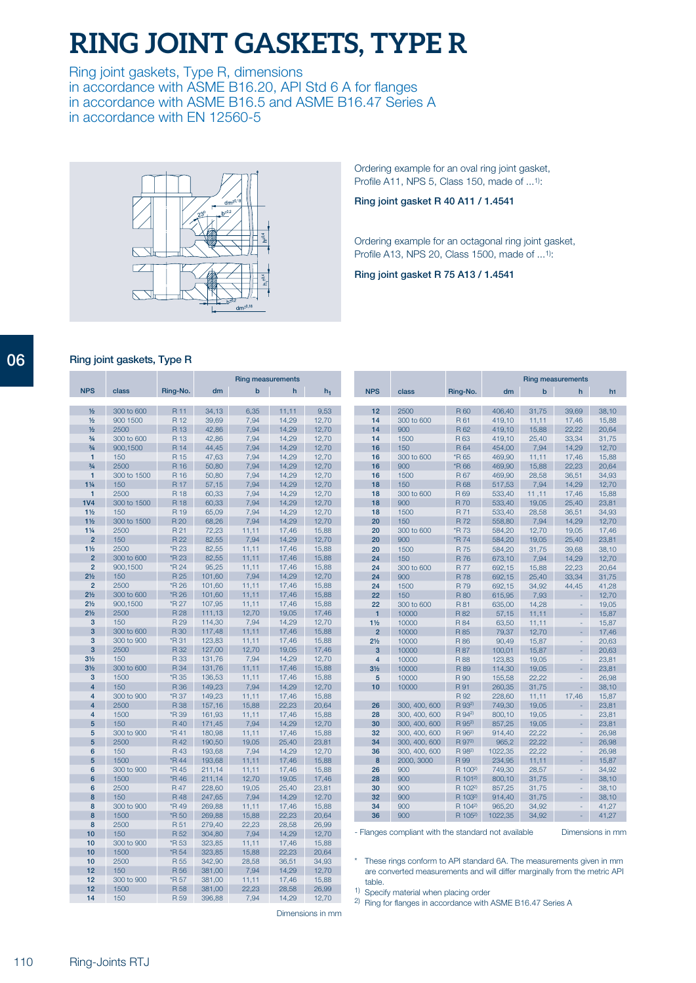## **RING JOINT GASKETS, TYPE R**

Ring joint gaskets, Type R, dimensions in accordance with ASME B16.20, API Std 6 A for flanges in accordance with ASME B16.5 and ASME B16.47 Series A in accordance with EN 12560-5



Ordering example for an oval ring joint gasket, Profile A11, NPS 5, Class 150, made of ...<sup>1)</sup>:

#### **Ring joint gasket R 40 A11 / 1.4541**

Ordering example for an octagonal ring joint gasket, Profile A13, NPS 20, Class 1500, made of  $\dots$ <sup>1)</sup>:

**Ring joint gasket R 75 A13 / 1.4541**

#### **Ring joint gaskets, Type R**

|                                  |                        |                         | <b>Ring measurements</b> |                |                |                |  |  |
|----------------------------------|------------------------|-------------------------|--------------------------|----------------|----------------|----------------|--|--|
| <b>NPS</b>                       | class                  | Ring-No.                | dm                       | $\mathbf b$    | h              | $h_1$          |  |  |
|                                  |                        |                         |                          |                |                |                |  |  |
| $\frac{1}{2}$                    | 300 to 600             | <b>R11</b>              | 34.13                    | 6,35           | 11,11          | 9,53           |  |  |
| $\frac{1}{2}$                    | 900 1500               | R 12                    | 39,69                    | 7,94           | 14,29          | 12,70          |  |  |
| $\frac{1}{2}$                    | 2500                   | R 13                    | 42,86                    | 7,94           | 14,29          | 12,70          |  |  |
| $\frac{3}{4}$                    | 300 to 600             | R 13                    | 42,86                    | 7,94           | 14,29          | 12,70          |  |  |
| $\frac{3}{4}$                    | 900,1500               | R 14                    | 44,45                    | 7,94           | 14,29          | 12,70          |  |  |
| $\mathbf{1}$                     | 150                    | R 15                    | 47,63                    | 7,94           | 14,29          | 12,70          |  |  |
| $\frac{3}{4}$                    | 2500                   | R 16                    | 50,80                    | 7,94           | 14,29          | 12,70          |  |  |
| $\mathbf{1}$                     | 300 to 1500            | R 16                    | 50,80                    | 7,94           | 14,29          | 12,70          |  |  |
| $1\frac{1}{4}$                   | 150                    | R 17                    | 57,15                    | 7,94           | 14,29          | 12,70          |  |  |
| 1                                | 2500                   | R 18                    | 60,33                    | 7,94           | 14,29          | 12,70          |  |  |
| 1 <sub>V</sub> 4                 | 300 to 1500            | <b>R</b> 18             | 60,33                    | 7,94           | 14,29          | 12,70          |  |  |
| $1\frac{1}{2}$                   | 150                    | R 19                    | 65,09                    | 7,94           | 14,29          | 12,70          |  |  |
| $1\frac{1}{2}$                   | 300 to 1500            | R 20                    | 68,26                    | 7,94           | 14,29          | 12,70          |  |  |
| $1\frac{1}{4}$                   | 2500                   | R 21                    | 72,23                    | 11,11          | 17,46          | 15,88          |  |  |
| $\overline{2}$                   | 150                    | R 22                    | 82,55                    | 7,94           | 14,29          | 12,70          |  |  |
| $1\frac{1}{2}$<br>$\overline{2}$ | 2500                   | *R 23<br>*R 23          | 82,55                    | 11,11          | 17,46          | 15,88          |  |  |
| $\overline{2}$                   | 300 to 600<br>900,1500 | *R 24                   | 82,55<br>95,25           | 11,11<br>11,11 | 17,46<br>17,46 | 15,88<br>15,88 |  |  |
| $2\frac{1}{2}$                   | 150                    | R 25                    |                          |                |                |                |  |  |
| $\overline{2}$                   | 2500                   | *R 26                   | 101,60<br>101,60         | 7,94<br>11,11  | 14,29<br>17,46 | 12,70<br>15,88 |  |  |
| $2\frac{1}{2}$                   | 300 to 600             | *R 26                   | 101,60                   | 11,11          | 17,46          | 15,88          |  |  |
| $2\frac{1}{2}$                   | 900,1500               | *R 27                   | 107,95                   | 11,11          | 17,46          | 15,88          |  |  |
| $2\frac{1}{2}$                   | 2500                   | R 28                    | 111,13                   | 12,70          | 19,05          | 17,46          |  |  |
| 3                                | 150                    | R 29                    | 114,30                   | 7,94           | 14,29          | 12,70          |  |  |
| 3                                | 300 to 600             | R 30                    | 117,48                   | 11,11          | 17,46          | 15,88          |  |  |
| 3                                | 300 to 900             | *R 31                   | 123,83                   | 11,11          | 17,46          | 15,88          |  |  |
| 3                                | 2500                   | R 32                    | 127,00                   | 12,70          | 19,05          | 17,46          |  |  |
| 3 <sub>2</sub>                   | 150                    | R 33                    | 131,76                   | 7,94           | 14,29          | 12,70          |  |  |
| 3 <sub>2</sub>                   | 300 to 600             | R 34                    | 131,76                   | 11,11          | 17,46          | 15,88          |  |  |
| 3                                | 1500                   | *R 35                   | 136,53                   | 11,11          | 17,46          | 15,88          |  |  |
| 4                                | 150                    | R 36                    | 149,23                   | 7,94           | 14,29          | 12,70          |  |  |
| 4                                | 300 to 900             | *R 37                   | 149,23                   | 11,11          | 17,46          | 15,88          |  |  |
| 4                                | 2500                   | R 38                    | 157,16                   | 15,88          | 22,23          | 20,64          |  |  |
| $\overline{\mathbf{4}}$          | 1500                   | *R 39                   | 161,93                   | 11,11          | 17,46          | 15,88          |  |  |
| 5                                | 150                    | R 40                    | 171,45                   | 7,94           | 14,29          | 12,70          |  |  |
| 5                                | 300 to 900             | *R41                    | 180,98                   | 11,11          | 17,46          | 15,88          |  |  |
| 5                                | 2500                   | R 42                    | 190,50                   | 19,05          | 25,40          | 23,81          |  |  |
| 6                                | 150                    | R 43                    | 193,68                   | 7,94           | 14,29          | 12,70          |  |  |
| 5                                | 1500                   | *R44                    | 193,68                   | 11,11          | 17,46          | 15,88          |  |  |
| 6                                | 300 to 900             | *R 45                   | 211,14                   | 11,11          | 17,46          | 15,88          |  |  |
| 6                                | 1500                   | *R46                    | 211,14                   | 12,70          | 19,05          | 17,46          |  |  |
| 6                                | 2500                   | <b>R47</b>              | 228,60                   | 19,05          | 25,40          | 23,81          |  |  |
| 8                                | 150                    | <b>R48</b>              | 247,65                   | 7,94           | 14,29          | 12.70          |  |  |
| 8                                | 300 to 900             | *R49                    | 269,88                   | 11,11          | 17,46          | 15,88          |  |  |
| 8                                | 1500                   | *R 50                   | 269,88                   | 15,88          | 22,23          | 20,64          |  |  |
| 8<br>10                          | 2500<br>150            | R 51<br>R <sub>52</sub> | 279,40                   | 22,23          | 28,58          | 26,99          |  |  |
| 10                               |                        | *R 53                   | 304,80                   | 7,94           | 14,29          | 12,70          |  |  |
| 10                               | 300 to 900<br>1500     | *R 54                   | 323,85<br>323,85         | 11,11<br>15,88 | 17,46<br>22,23 | 15,88<br>20,64 |  |  |
| 10                               | 2500                   | R 55                    | 342,90                   | 28,58          | 36,51          | 34,93          |  |  |
| 12                               | 150                    | R 56                    | 381,00                   | 7,94           | 14,29          | 12,70          |  |  |
| 12                               | 300 to 900             | *R 57                   | 381,00                   | 11,11          | 17,46          | 15,88          |  |  |
| 12                               | 1500                   | R 58                    | 381,00                   | 22,23          | 28,58          | 26,99          |  |  |
| 14                               | 150                    | R 59                    | 396,88                   | 7,94           | 14,29          | 12,70          |  |  |
|                                  |                        |                         |                          |                |                |                |  |  |

|                |               |                     | <b>Ring measurements</b> |             |       |                |  |  |
|----------------|---------------|---------------------|--------------------------|-------------|-------|----------------|--|--|
| <b>NPS</b>     | class         | Ring-No.            | dm                       | $\mathbf b$ | h     | h <sub>1</sub> |  |  |
| 12             | 2500          | R 60                | 406,40                   | 31,75       | 39,69 | 38,10          |  |  |
| 14             | 300 to 600    | R 61                | 419,10                   | 11,11       | 17,46 | 15,88          |  |  |
| 14             | 900           | R62                 | 419,10                   | 15,88       | 22,22 | 20,64          |  |  |
| 14             | 1500          | R63                 | 419,10                   | 25,40       | 33,34 | 31,75          |  |  |
| 16             | 150           | R 64                | 454,00                   | 7,94        | 14,29 | 12,70          |  |  |
| 16             | 300 to 600    | *R 65               | 469,90                   | 11,11       | 17,46 | 15,88          |  |  |
| 16             | 900           | *R 66               | 469,90                   | 15,88       | 22,23 | 20,64          |  |  |
| 16             | 1500          | R 67                | 469,90                   | 28,58       | 36,51 | 34,93          |  |  |
| 18             | 150           | R 68                | 517,53                   | 7,94        | 14,29 | 12,70          |  |  |
| 18             | 300 to 600    | R69                 | 533,40                   | 11, 11      | 17,46 | 15,88          |  |  |
| 18             | 900           | <b>R70</b>          | 533,40                   | 19,05       | 25,40 | 23,81          |  |  |
| 18             | 1500          | <b>R71</b>          | 533,40                   | 28,58       | 36,51 | 34,93          |  |  |
| 20             | 150           | <b>R72</b>          | 558,80                   | 7,94        | 14,29 | 12,70          |  |  |
| 20             | 300 to 600    | *R 73               | 584,20                   | 12,70       | 19,05 | 17,46          |  |  |
| 20             | 900           | *R 74               | 584,20                   | 19,05       | 25,40 | 23,81          |  |  |
| 20             | 1500          | R 75                | 584,20                   | 31,75       | 39,68 | 38,10          |  |  |
| 24             | 150           | R 76                | 673,10                   | 7,94        | 14,29 | 12,70          |  |  |
| 24             | 300 to 600    | <b>R77</b>          | 692,15                   | 15,88       | 22,23 | 20,64          |  |  |
| 24             | 900           | <b>R78</b>          | 692,15                   | 25,40       | 33,34 | 31,75          |  |  |
| 24             | 1500          | R 79                | 692,15                   | 34,92       | 44,45 | 41,28          |  |  |
| 22             | 150           | R80                 | 615,95                   | 7,93        |       | 12,70          |  |  |
| 22             | 300 to 600    | R 81                | 635,00                   | 14,28       |       | 19,05          |  |  |
| $\mathbf{1}$   | 10000         | R82                 | 57,15                    | 11,11       |       | 15,87          |  |  |
| $1\frac{1}{2}$ | 10000         | R84                 | 63,50                    | 11,11       |       | 15,87          |  |  |
| $\overline{2}$ | 10000         | R 85                | 79,37                    | 12,70       |       | 17,46          |  |  |
| 2 <sub>2</sub> | 10000         | R86                 | 90,49                    | 15,87       |       | 20,63          |  |  |
| 3              | 10000         | R87                 | 100,01                   | 15,87       |       | 20,63          |  |  |
| $\overline{4}$ | 10000         | R88                 | 123,83                   | 19,05       |       | 23,81          |  |  |
| 3 <sub>2</sub> | 10000         | R89                 | 114,30                   | 19,05       |       | 23,81          |  |  |
| 5              | 10000         | R 90                | 155,58                   | 22,22       |       | 26,98          |  |  |
| 10             | 10000         | R 91                | 260,35                   | 31,75       |       | 38,10          |  |  |
|                |               | R 92                | 228,60                   | 11,11       | 17,46 | 15,87          |  |  |
| 26             | 300, 400, 600 | R 93 <sup>2)</sup>  | 749,30                   | 19,05       |       | 23,81          |  |  |
| 28             | 300, 400, 600 | R 94 <sup>2)</sup>  | 800,10                   | 19,05       |       | 23,81          |  |  |
| 30             | 300, 400, 600 | R 95 <sup>2)</sup>  | 857,25                   | 19,05       |       | 23,81          |  |  |
| 32             | 300, 400, 600 | R 96 <sup>2</sup>   | 914,40                   | 22,22       |       | 26,98          |  |  |
| 34             | 300, 400, 600 | R 972)              | 965,2                    | 22,22       |       | 26,98          |  |  |
| 36             | 300, 400, 600 | R 982)              | 1022,35                  | 22,22       |       | 26,98          |  |  |
| 8              | 2000, 3000    | R 99                | 234,95                   | 11,11       |       | 15,87          |  |  |
| 26             | 900           | R 100 <sup>2)</sup> | 749,30                   | 28,57       |       | 34,92          |  |  |
| 28             | 900           | R 101 <sup>2</sup>  | 800,10                   | 31,75       |       | 38,10          |  |  |
| 30             | 900           | R 102 <sup>2</sup>  | 857,25                   | 31,75       |       | 38,10          |  |  |
| 32             | 900           | R 103 <sup>2)</sup> | 914,40                   | 31,75       |       | 38,10          |  |  |
| 34             | 900           | R 104 <sup>2)</sup> | 965,20                   | 34,92       |       | 41,27          |  |  |
| 36             | 900           | R 105 <sup>2)</sup> | 1022,35                  | 34,92       |       | 41,27          |  |  |
|                |               |                     |                          |             |       |                |  |  |

- Flanges compliant with the standard not available Dimensions in mm

\* These rings conform to API standard 6A. The measurements given in mm are converted measurements and will differ marginally from the metric API table.

1) Specify material when placing order

2) Ring for flanges in accordance with ASME B16.47 Series A

Dimensions in mm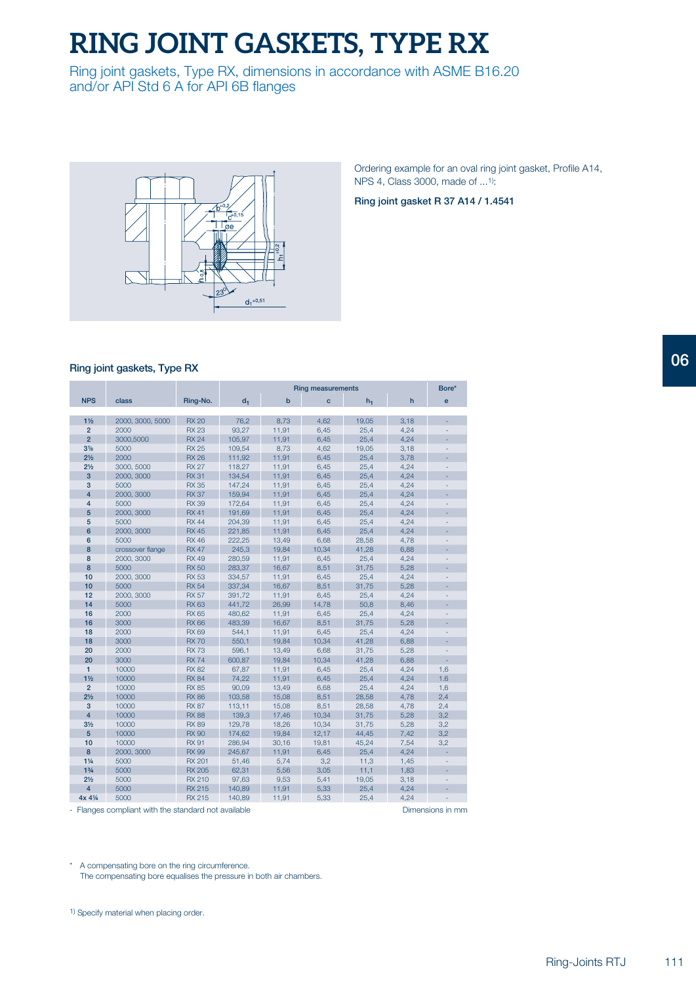### **RING JOINT GASKETS, TYPE RX**

Ring joint gaskets, Type RX, dimensions in accordance with ASME B16.20 and/or API Std 6 A for API 6B flanges



Ordering example for an oval ring joint gasket, Profile A14, NPS 4, Class 3000, made of ...<sup>1)</sup>:

**Ring joint gasket R 37 A14 / 1.4541**

#### **Ring joint gaskets, Type RX**

| <b>NPS</b><br>$\mathbf b$<br>class<br>Ring-No.<br>d <sub>1</sub><br>$\mathbf{c}$<br>$\mathsf{h}$<br>h <sub>1</sub><br>$\mathbf{e}$<br>$1\frac{1}{2}$<br>2000, 3000, 5000<br><b>RX 20</b><br>76,2<br>8,73<br>4,62<br>19,05<br>3,18<br>$\overline{2}$<br><b>RX 23</b><br>93,27<br>11,91<br>6,45<br>25,4<br>2000<br>4,24<br>$\overline{2}$<br><b>RX 24</b><br>105,97<br>3000,5000<br>11,91<br>6,45<br>25,4<br>4,24<br>$31$ <sub>8</sub><br>5000<br><b>RX 25</b><br>109,54<br>8,73<br>3,18<br>4,62<br>19,05<br>$2\frac{1}{2}$<br>2000<br><b>RX 26</b><br>111,92<br>11,91<br>25,4<br>3,78<br>6,45<br>2 <sub>2</sub><br>3000, 5000<br><b>RX 27</b><br>118,27<br>11,91<br>6,45<br>25,4<br>4,24<br>3<br>2000, 3000<br><b>RX 31</b><br>134,54<br>25,4<br>4,24<br>11,91<br>6,45<br>3<br>5000<br><b>RX 35</b><br>147,24<br>25,4<br>4,24<br>11,91<br>6,45<br>$\overline{4}$<br><b>RX 37</b><br>2000, 3000<br>159,94<br>11,91<br>6,45<br>25,4<br>4,24<br>$\overline{4}$<br>5000<br><b>RX 39</b><br>172,64<br>11,91<br>6,45<br>25,4<br>4,24<br>5<br>2000, 3000<br><b>RX 41</b><br>191,69<br>11,91<br>6,45<br>25,4<br>4,24<br>5<br>5000<br><b>RX 44</b><br>204,39<br>25,4<br>11,91<br>6,45<br>4,24<br>6<br><b>RX 45</b><br>2000, 3000<br>221,85<br>11,91<br>6,45<br>25,4<br>4,24<br>$6\phantom{a}$<br><b>RX 46</b><br>222,25<br>5000<br>13,49<br>6,68<br>28,58<br>4,78<br>8<br><b>RX 47</b><br>245,3<br>crossover flange<br>19,84<br>10,34<br>41,28<br>6,88<br>8<br><b>RX 49</b><br>280,59<br>25,4<br>4,24<br>2000, 3000<br>11,91<br>6,45<br>8<br>5000<br><b>RX 50</b><br>283,37<br>8,51<br>31,75<br>5,28<br>16,67<br>10<br>2000, 3000<br><b>RX 53</b><br>334,57<br>11,91<br>6,45<br>25,4<br>4,24<br>10<br><b>RX 54</b><br>337,34<br>16,67<br>8,51<br>31,75<br>5,28<br>5000<br>12<br>2000, 3000<br><b>RX 57</b><br>391,72<br>11,91<br>6,45<br>25,4<br>4,24<br>14<br>5000<br><b>RX 63</b><br>441,72<br>26,99<br>14,78<br>50,8<br>8,46<br>16<br>2000<br><b>RX 65</b><br>480,62<br>11,91<br>6,45<br>25,4<br>4,24<br>16<br>3000<br><b>RX 66</b><br>483,39<br>16,67<br>8,51<br>31,75<br>5,28<br>18<br>25,4<br>2000<br><b>RX 69</b><br>544,1<br>11,91<br>6,45<br>4,24<br>18<br>3000<br><b>RX 70</b><br>550,1<br>19,84<br>10,34<br>41,28<br>6,88<br>20<br>2000<br><b>RX 73</b><br>596,1<br>5,28<br>13,49<br>6,68<br>31,75<br>20<br>3000<br><b>RX 74</b><br>41,28<br>6,88<br>600,87<br>19,84<br>10,34<br>$\mathbf{1}$<br><b>RX 82</b><br>1,6<br>10000<br>67,87<br>11,91<br>6,45<br>25,4<br>4,24<br>$1\frac{1}{2}$<br>10000<br><b>RX 84</b><br>74,22<br>11,91<br>6,45<br>25,4<br>4,24<br>1.6<br>$\overline{2}$<br>10000<br><b>RX 85</b><br>90,09<br>25,4<br>4,24<br>1,6<br>13,49<br>6,68<br>$2\frac{1}{2}$<br><b>RX 86</b><br>8,51<br>2,4<br>10000<br>103,58<br>15,08<br>28,58<br>4,78<br><b>RX 87</b><br>3<br>10000<br>113,11<br>15,08<br>8,51<br>28,58<br>4,78<br>2,4<br>$\overline{\mathbf{4}}$<br>10000<br><b>RX 88</b><br>139,3<br>17,46<br>31,75<br>5,28<br>3,2<br>10,34<br>3 <sub>2</sub><br>10000<br><b>RX 89</b><br>129,78<br>18,26<br>10,34<br>31,75<br>5,28<br>3,2<br>$5\phantom{.0}$<br>10000<br><b>RX 90</b><br>174,62<br>19,84<br>12,17<br>44,45<br>7,42<br>3,2<br>10<br>10000<br><b>RX 91</b><br>286,94<br>30,16<br>19,81<br>45,24<br>7,54<br>3,2<br>8<br>2000, 3000<br><b>RX 99</b><br>245,67<br>11,91<br>6,45<br>25,4<br>4,24<br>$1\frac{1}{4}$<br>5000<br><b>RX 201</b><br>3.2<br>51,46<br>5,74<br>11,3<br>1,45<br>13/4<br>5000<br>3,05<br><b>RX 205</b><br>62,31<br>5,56<br>11,1<br>1,83<br>2 <sub>2</sub><br>5000<br><b>RX 210</b><br>97,63<br>9,53<br>19,05<br>3,18<br>5,41<br>$\overline{4}$<br>5000<br><b>RX 215</b><br>11,91<br>25,4<br>4,24<br>140,89<br>5,33<br>4x 41/4<br>5000<br><b>RX 215</b><br>25,4<br>140,89<br>11,91<br>5,33<br>4,24 |  | <b>Ring measurements</b><br>Bore* |  |  |  |  |  |  |
|-----------------------------------------------------------------------------------------------------------------------------------------------------------------------------------------------------------------------------------------------------------------------------------------------------------------------------------------------------------------------------------------------------------------------------------------------------------------------------------------------------------------------------------------------------------------------------------------------------------------------------------------------------------------------------------------------------------------------------------------------------------------------------------------------------------------------------------------------------------------------------------------------------------------------------------------------------------------------------------------------------------------------------------------------------------------------------------------------------------------------------------------------------------------------------------------------------------------------------------------------------------------------------------------------------------------------------------------------------------------------------------------------------------------------------------------------------------------------------------------------------------------------------------------------------------------------------------------------------------------------------------------------------------------------------------------------------------------------------------------------------------------------------------------------------------------------------------------------------------------------------------------------------------------------------------------------------------------------------------------------------------------------------------------------------------------------------------------------------------------------------------------------------------------------------------------------------------------------------------------------------------------------------------------------------------------------------------------------------------------------------------------------------------------------------------------------------------------------------------------------------------------------------------------------------------------------------------------------------------------------------------------------------------------------------------------------------------------------------------------------------------------------------------------------------------------------------------------------------------------------------------------------------------------------------------------------------------------------------------------------------------------------------------------------------------------------------------------------------------------------------------------------------------------------------------------------------------------------------------------------------------------------------------------------------------------------------------------------------------------------------------------------------------------------------------------------------------------------------------------------------------------------------------------------------------------------------------------------------------------------------------------------------------------------------------------------------------------------------------------------|--|-----------------------------------|--|--|--|--|--|--|
|                                                                                                                                                                                                                                                                                                                                                                                                                                                                                                                                                                                                                                                                                                                                                                                                                                                                                                                                                                                                                                                                                                                                                                                                                                                                                                                                                                                                                                                                                                                                                                                                                                                                                                                                                                                                                                                                                                                                                                                                                                                                                                                                                                                                                                                                                                                                                                                                                                                                                                                                                                                                                                                                                                                                                                                                                                                                                                                                                                                                                                                                                                                                                                                                                                                                                                                                                                                                                                                                                                                                                                                                                                                                                                                                               |  |                                   |  |  |  |  |  |  |
|                                                                                                                                                                                                                                                                                                                                                                                                                                                                                                                                                                                                                                                                                                                                                                                                                                                                                                                                                                                                                                                                                                                                                                                                                                                                                                                                                                                                                                                                                                                                                                                                                                                                                                                                                                                                                                                                                                                                                                                                                                                                                                                                                                                                                                                                                                                                                                                                                                                                                                                                                                                                                                                                                                                                                                                                                                                                                                                                                                                                                                                                                                                                                                                                                                                                                                                                                                                                                                                                                                                                                                                                                                                                                                                                               |  |                                   |  |  |  |  |  |  |
|                                                                                                                                                                                                                                                                                                                                                                                                                                                                                                                                                                                                                                                                                                                                                                                                                                                                                                                                                                                                                                                                                                                                                                                                                                                                                                                                                                                                                                                                                                                                                                                                                                                                                                                                                                                                                                                                                                                                                                                                                                                                                                                                                                                                                                                                                                                                                                                                                                                                                                                                                                                                                                                                                                                                                                                                                                                                                                                                                                                                                                                                                                                                                                                                                                                                                                                                                                                                                                                                                                                                                                                                                                                                                                                                               |  |                                   |  |  |  |  |  |  |
|                                                                                                                                                                                                                                                                                                                                                                                                                                                                                                                                                                                                                                                                                                                                                                                                                                                                                                                                                                                                                                                                                                                                                                                                                                                                                                                                                                                                                                                                                                                                                                                                                                                                                                                                                                                                                                                                                                                                                                                                                                                                                                                                                                                                                                                                                                                                                                                                                                                                                                                                                                                                                                                                                                                                                                                                                                                                                                                                                                                                                                                                                                                                                                                                                                                                                                                                                                                                                                                                                                                                                                                                                                                                                                                                               |  |                                   |  |  |  |  |  |  |
|                                                                                                                                                                                                                                                                                                                                                                                                                                                                                                                                                                                                                                                                                                                                                                                                                                                                                                                                                                                                                                                                                                                                                                                                                                                                                                                                                                                                                                                                                                                                                                                                                                                                                                                                                                                                                                                                                                                                                                                                                                                                                                                                                                                                                                                                                                                                                                                                                                                                                                                                                                                                                                                                                                                                                                                                                                                                                                                                                                                                                                                                                                                                                                                                                                                                                                                                                                                                                                                                                                                                                                                                                                                                                                                                               |  |                                   |  |  |  |  |  |  |
|                                                                                                                                                                                                                                                                                                                                                                                                                                                                                                                                                                                                                                                                                                                                                                                                                                                                                                                                                                                                                                                                                                                                                                                                                                                                                                                                                                                                                                                                                                                                                                                                                                                                                                                                                                                                                                                                                                                                                                                                                                                                                                                                                                                                                                                                                                                                                                                                                                                                                                                                                                                                                                                                                                                                                                                                                                                                                                                                                                                                                                                                                                                                                                                                                                                                                                                                                                                                                                                                                                                                                                                                                                                                                                                                               |  |                                   |  |  |  |  |  |  |
|                                                                                                                                                                                                                                                                                                                                                                                                                                                                                                                                                                                                                                                                                                                                                                                                                                                                                                                                                                                                                                                                                                                                                                                                                                                                                                                                                                                                                                                                                                                                                                                                                                                                                                                                                                                                                                                                                                                                                                                                                                                                                                                                                                                                                                                                                                                                                                                                                                                                                                                                                                                                                                                                                                                                                                                                                                                                                                                                                                                                                                                                                                                                                                                                                                                                                                                                                                                                                                                                                                                                                                                                                                                                                                                                               |  |                                   |  |  |  |  |  |  |
|                                                                                                                                                                                                                                                                                                                                                                                                                                                                                                                                                                                                                                                                                                                                                                                                                                                                                                                                                                                                                                                                                                                                                                                                                                                                                                                                                                                                                                                                                                                                                                                                                                                                                                                                                                                                                                                                                                                                                                                                                                                                                                                                                                                                                                                                                                                                                                                                                                                                                                                                                                                                                                                                                                                                                                                                                                                                                                                                                                                                                                                                                                                                                                                                                                                                                                                                                                                                                                                                                                                                                                                                                                                                                                                                               |  |                                   |  |  |  |  |  |  |
|                                                                                                                                                                                                                                                                                                                                                                                                                                                                                                                                                                                                                                                                                                                                                                                                                                                                                                                                                                                                                                                                                                                                                                                                                                                                                                                                                                                                                                                                                                                                                                                                                                                                                                                                                                                                                                                                                                                                                                                                                                                                                                                                                                                                                                                                                                                                                                                                                                                                                                                                                                                                                                                                                                                                                                                                                                                                                                                                                                                                                                                                                                                                                                                                                                                                                                                                                                                                                                                                                                                                                                                                                                                                                                                                               |  |                                   |  |  |  |  |  |  |
|                                                                                                                                                                                                                                                                                                                                                                                                                                                                                                                                                                                                                                                                                                                                                                                                                                                                                                                                                                                                                                                                                                                                                                                                                                                                                                                                                                                                                                                                                                                                                                                                                                                                                                                                                                                                                                                                                                                                                                                                                                                                                                                                                                                                                                                                                                                                                                                                                                                                                                                                                                                                                                                                                                                                                                                                                                                                                                                                                                                                                                                                                                                                                                                                                                                                                                                                                                                                                                                                                                                                                                                                                                                                                                                                               |  |                                   |  |  |  |  |  |  |
|                                                                                                                                                                                                                                                                                                                                                                                                                                                                                                                                                                                                                                                                                                                                                                                                                                                                                                                                                                                                                                                                                                                                                                                                                                                                                                                                                                                                                                                                                                                                                                                                                                                                                                                                                                                                                                                                                                                                                                                                                                                                                                                                                                                                                                                                                                                                                                                                                                                                                                                                                                                                                                                                                                                                                                                                                                                                                                                                                                                                                                                                                                                                                                                                                                                                                                                                                                                                                                                                                                                                                                                                                                                                                                                                               |  |                                   |  |  |  |  |  |  |
|                                                                                                                                                                                                                                                                                                                                                                                                                                                                                                                                                                                                                                                                                                                                                                                                                                                                                                                                                                                                                                                                                                                                                                                                                                                                                                                                                                                                                                                                                                                                                                                                                                                                                                                                                                                                                                                                                                                                                                                                                                                                                                                                                                                                                                                                                                                                                                                                                                                                                                                                                                                                                                                                                                                                                                                                                                                                                                                                                                                                                                                                                                                                                                                                                                                                                                                                                                                                                                                                                                                                                                                                                                                                                                                                               |  |                                   |  |  |  |  |  |  |
|                                                                                                                                                                                                                                                                                                                                                                                                                                                                                                                                                                                                                                                                                                                                                                                                                                                                                                                                                                                                                                                                                                                                                                                                                                                                                                                                                                                                                                                                                                                                                                                                                                                                                                                                                                                                                                                                                                                                                                                                                                                                                                                                                                                                                                                                                                                                                                                                                                                                                                                                                                                                                                                                                                                                                                                                                                                                                                                                                                                                                                                                                                                                                                                                                                                                                                                                                                                                                                                                                                                                                                                                                                                                                                                                               |  |                                   |  |  |  |  |  |  |
|                                                                                                                                                                                                                                                                                                                                                                                                                                                                                                                                                                                                                                                                                                                                                                                                                                                                                                                                                                                                                                                                                                                                                                                                                                                                                                                                                                                                                                                                                                                                                                                                                                                                                                                                                                                                                                                                                                                                                                                                                                                                                                                                                                                                                                                                                                                                                                                                                                                                                                                                                                                                                                                                                                                                                                                                                                                                                                                                                                                                                                                                                                                                                                                                                                                                                                                                                                                                                                                                                                                                                                                                                                                                                                                                               |  |                                   |  |  |  |  |  |  |
|                                                                                                                                                                                                                                                                                                                                                                                                                                                                                                                                                                                                                                                                                                                                                                                                                                                                                                                                                                                                                                                                                                                                                                                                                                                                                                                                                                                                                                                                                                                                                                                                                                                                                                                                                                                                                                                                                                                                                                                                                                                                                                                                                                                                                                                                                                                                                                                                                                                                                                                                                                                                                                                                                                                                                                                                                                                                                                                                                                                                                                                                                                                                                                                                                                                                                                                                                                                                                                                                                                                                                                                                                                                                                                                                               |  |                                   |  |  |  |  |  |  |
|                                                                                                                                                                                                                                                                                                                                                                                                                                                                                                                                                                                                                                                                                                                                                                                                                                                                                                                                                                                                                                                                                                                                                                                                                                                                                                                                                                                                                                                                                                                                                                                                                                                                                                                                                                                                                                                                                                                                                                                                                                                                                                                                                                                                                                                                                                                                                                                                                                                                                                                                                                                                                                                                                                                                                                                                                                                                                                                                                                                                                                                                                                                                                                                                                                                                                                                                                                                                                                                                                                                                                                                                                                                                                                                                               |  |                                   |  |  |  |  |  |  |
|                                                                                                                                                                                                                                                                                                                                                                                                                                                                                                                                                                                                                                                                                                                                                                                                                                                                                                                                                                                                                                                                                                                                                                                                                                                                                                                                                                                                                                                                                                                                                                                                                                                                                                                                                                                                                                                                                                                                                                                                                                                                                                                                                                                                                                                                                                                                                                                                                                                                                                                                                                                                                                                                                                                                                                                                                                                                                                                                                                                                                                                                                                                                                                                                                                                                                                                                                                                                                                                                                                                                                                                                                                                                                                                                               |  |                                   |  |  |  |  |  |  |
|                                                                                                                                                                                                                                                                                                                                                                                                                                                                                                                                                                                                                                                                                                                                                                                                                                                                                                                                                                                                                                                                                                                                                                                                                                                                                                                                                                                                                                                                                                                                                                                                                                                                                                                                                                                                                                                                                                                                                                                                                                                                                                                                                                                                                                                                                                                                                                                                                                                                                                                                                                                                                                                                                                                                                                                                                                                                                                                                                                                                                                                                                                                                                                                                                                                                                                                                                                                                                                                                                                                                                                                                                                                                                                                                               |  |                                   |  |  |  |  |  |  |
|                                                                                                                                                                                                                                                                                                                                                                                                                                                                                                                                                                                                                                                                                                                                                                                                                                                                                                                                                                                                                                                                                                                                                                                                                                                                                                                                                                                                                                                                                                                                                                                                                                                                                                                                                                                                                                                                                                                                                                                                                                                                                                                                                                                                                                                                                                                                                                                                                                                                                                                                                                                                                                                                                                                                                                                                                                                                                                                                                                                                                                                                                                                                                                                                                                                                                                                                                                                                                                                                                                                                                                                                                                                                                                                                               |  |                                   |  |  |  |  |  |  |
|                                                                                                                                                                                                                                                                                                                                                                                                                                                                                                                                                                                                                                                                                                                                                                                                                                                                                                                                                                                                                                                                                                                                                                                                                                                                                                                                                                                                                                                                                                                                                                                                                                                                                                                                                                                                                                                                                                                                                                                                                                                                                                                                                                                                                                                                                                                                                                                                                                                                                                                                                                                                                                                                                                                                                                                                                                                                                                                                                                                                                                                                                                                                                                                                                                                                                                                                                                                                                                                                                                                                                                                                                                                                                                                                               |  |                                   |  |  |  |  |  |  |
|                                                                                                                                                                                                                                                                                                                                                                                                                                                                                                                                                                                                                                                                                                                                                                                                                                                                                                                                                                                                                                                                                                                                                                                                                                                                                                                                                                                                                                                                                                                                                                                                                                                                                                                                                                                                                                                                                                                                                                                                                                                                                                                                                                                                                                                                                                                                                                                                                                                                                                                                                                                                                                                                                                                                                                                                                                                                                                                                                                                                                                                                                                                                                                                                                                                                                                                                                                                                                                                                                                                                                                                                                                                                                                                                               |  |                                   |  |  |  |  |  |  |
|                                                                                                                                                                                                                                                                                                                                                                                                                                                                                                                                                                                                                                                                                                                                                                                                                                                                                                                                                                                                                                                                                                                                                                                                                                                                                                                                                                                                                                                                                                                                                                                                                                                                                                                                                                                                                                                                                                                                                                                                                                                                                                                                                                                                                                                                                                                                                                                                                                                                                                                                                                                                                                                                                                                                                                                                                                                                                                                                                                                                                                                                                                                                                                                                                                                                                                                                                                                                                                                                                                                                                                                                                                                                                                                                               |  |                                   |  |  |  |  |  |  |
|                                                                                                                                                                                                                                                                                                                                                                                                                                                                                                                                                                                                                                                                                                                                                                                                                                                                                                                                                                                                                                                                                                                                                                                                                                                                                                                                                                                                                                                                                                                                                                                                                                                                                                                                                                                                                                                                                                                                                                                                                                                                                                                                                                                                                                                                                                                                                                                                                                                                                                                                                                                                                                                                                                                                                                                                                                                                                                                                                                                                                                                                                                                                                                                                                                                                                                                                                                                                                                                                                                                                                                                                                                                                                                                                               |  |                                   |  |  |  |  |  |  |
|                                                                                                                                                                                                                                                                                                                                                                                                                                                                                                                                                                                                                                                                                                                                                                                                                                                                                                                                                                                                                                                                                                                                                                                                                                                                                                                                                                                                                                                                                                                                                                                                                                                                                                                                                                                                                                                                                                                                                                                                                                                                                                                                                                                                                                                                                                                                                                                                                                                                                                                                                                                                                                                                                                                                                                                                                                                                                                                                                                                                                                                                                                                                                                                                                                                                                                                                                                                                                                                                                                                                                                                                                                                                                                                                               |  |                                   |  |  |  |  |  |  |
|                                                                                                                                                                                                                                                                                                                                                                                                                                                                                                                                                                                                                                                                                                                                                                                                                                                                                                                                                                                                                                                                                                                                                                                                                                                                                                                                                                                                                                                                                                                                                                                                                                                                                                                                                                                                                                                                                                                                                                                                                                                                                                                                                                                                                                                                                                                                                                                                                                                                                                                                                                                                                                                                                                                                                                                                                                                                                                                                                                                                                                                                                                                                                                                                                                                                                                                                                                                                                                                                                                                                                                                                                                                                                                                                               |  |                                   |  |  |  |  |  |  |
|                                                                                                                                                                                                                                                                                                                                                                                                                                                                                                                                                                                                                                                                                                                                                                                                                                                                                                                                                                                                                                                                                                                                                                                                                                                                                                                                                                                                                                                                                                                                                                                                                                                                                                                                                                                                                                                                                                                                                                                                                                                                                                                                                                                                                                                                                                                                                                                                                                                                                                                                                                                                                                                                                                                                                                                                                                                                                                                                                                                                                                                                                                                                                                                                                                                                                                                                                                                                                                                                                                                                                                                                                                                                                                                                               |  |                                   |  |  |  |  |  |  |
|                                                                                                                                                                                                                                                                                                                                                                                                                                                                                                                                                                                                                                                                                                                                                                                                                                                                                                                                                                                                                                                                                                                                                                                                                                                                                                                                                                                                                                                                                                                                                                                                                                                                                                                                                                                                                                                                                                                                                                                                                                                                                                                                                                                                                                                                                                                                                                                                                                                                                                                                                                                                                                                                                                                                                                                                                                                                                                                                                                                                                                                                                                                                                                                                                                                                                                                                                                                                                                                                                                                                                                                                                                                                                                                                               |  |                                   |  |  |  |  |  |  |
|                                                                                                                                                                                                                                                                                                                                                                                                                                                                                                                                                                                                                                                                                                                                                                                                                                                                                                                                                                                                                                                                                                                                                                                                                                                                                                                                                                                                                                                                                                                                                                                                                                                                                                                                                                                                                                                                                                                                                                                                                                                                                                                                                                                                                                                                                                                                                                                                                                                                                                                                                                                                                                                                                                                                                                                                                                                                                                                                                                                                                                                                                                                                                                                                                                                                                                                                                                                                                                                                                                                                                                                                                                                                                                                                               |  |                                   |  |  |  |  |  |  |
|                                                                                                                                                                                                                                                                                                                                                                                                                                                                                                                                                                                                                                                                                                                                                                                                                                                                                                                                                                                                                                                                                                                                                                                                                                                                                                                                                                                                                                                                                                                                                                                                                                                                                                                                                                                                                                                                                                                                                                                                                                                                                                                                                                                                                                                                                                                                                                                                                                                                                                                                                                                                                                                                                                                                                                                                                                                                                                                                                                                                                                                                                                                                                                                                                                                                                                                                                                                                                                                                                                                                                                                                                                                                                                                                               |  |                                   |  |  |  |  |  |  |
|                                                                                                                                                                                                                                                                                                                                                                                                                                                                                                                                                                                                                                                                                                                                                                                                                                                                                                                                                                                                                                                                                                                                                                                                                                                                                                                                                                                                                                                                                                                                                                                                                                                                                                                                                                                                                                                                                                                                                                                                                                                                                                                                                                                                                                                                                                                                                                                                                                                                                                                                                                                                                                                                                                                                                                                                                                                                                                                                                                                                                                                                                                                                                                                                                                                                                                                                                                                                                                                                                                                                                                                                                                                                                                                                               |  |                                   |  |  |  |  |  |  |
|                                                                                                                                                                                                                                                                                                                                                                                                                                                                                                                                                                                                                                                                                                                                                                                                                                                                                                                                                                                                                                                                                                                                                                                                                                                                                                                                                                                                                                                                                                                                                                                                                                                                                                                                                                                                                                                                                                                                                                                                                                                                                                                                                                                                                                                                                                                                                                                                                                                                                                                                                                                                                                                                                                                                                                                                                                                                                                                                                                                                                                                                                                                                                                                                                                                                                                                                                                                                                                                                                                                                                                                                                                                                                                                                               |  |                                   |  |  |  |  |  |  |
|                                                                                                                                                                                                                                                                                                                                                                                                                                                                                                                                                                                                                                                                                                                                                                                                                                                                                                                                                                                                                                                                                                                                                                                                                                                                                                                                                                                                                                                                                                                                                                                                                                                                                                                                                                                                                                                                                                                                                                                                                                                                                                                                                                                                                                                                                                                                                                                                                                                                                                                                                                                                                                                                                                                                                                                                                                                                                                                                                                                                                                                                                                                                                                                                                                                                                                                                                                                                                                                                                                                                                                                                                                                                                                                                               |  |                                   |  |  |  |  |  |  |
|                                                                                                                                                                                                                                                                                                                                                                                                                                                                                                                                                                                                                                                                                                                                                                                                                                                                                                                                                                                                                                                                                                                                                                                                                                                                                                                                                                                                                                                                                                                                                                                                                                                                                                                                                                                                                                                                                                                                                                                                                                                                                                                                                                                                                                                                                                                                                                                                                                                                                                                                                                                                                                                                                                                                                                                                                                                                                                                                                                                                                                                                                                                                                                                                                                                                                                                                                                                                                                                                                                                                                                                                                                                                                                                                               |  |                                   |  |  |  |  |  |  |
|                                                                                                                                                                                                                                                                                                                                                                                                                                                                                                                                                                                                                                                                                                                                                                                                                                                                                                                                                                                                                                                                                                                                                                                                                                                                                                                                                                                                                                                                                                                                                                                                                                                                                                                                                                                                                                                                                                                                                                                                                                                                                                                                                                                                                                                                                                                                                                                                                                                                                                                                                                                                                                                                                                                                                                                                                                                                                                                                                                                                                                                                                                                                                                                                                                                                                                                                                                                                                                                                                                                                                                                                                                                                                                                                               |  |                                   |  |  |  |  |  |  |
|                                                                                                                                                                                                                                                                                                                                                                                                                                                                                                                                                                                                                                                                                                                                                                                                                                                                                                                                                                                                                                                                                                                                                                                                                                                                                                                                                                                                                                                                                                                                                                                                                                                                                                                                                                                                                                                                                                                                                                                                                                                                                                                                                                                                                                                                                                                                                                                                                                                                                                                                                                                                                                                                                                                                                                                                                                                                                                                                                                                                                                                                                                                                                                                                                                                                                                                                                                                                                                                                                                                                                                                                                                                                                                                                               |  |                                   |  |  |  |  |  |  |
|                                                                                                                                                                                                                                                                                                                                                                                                                                                                                                                                                                                                                                                                                                                                                                                                                                                                                                                                                                                                                                                                                                                                                                                                                                                                                                                                                                                                                                                                                                                                                                                                                                                                                                                                                                                                                                                                                                                                                                                                                                                                                                                                                                                                                                                                                                                                                                                                                                                                                                                                                                                                                                                                                                                                                                                                                                                                                                                                                                                                                                                                                                                                                                                                                                                                                                                                                                                                                                                                                                                                                                                                                                                                                                                                               |  |                                   |  |  |  |  |  |  |
|                                                                                                                                                                                                                                                                                                                                                                                                                                                                                                                                                                                                                                                                                                                                                                                                                                                                                                                                                                                                                                                                                                                                                                                                                                                                                                                                                                                                                                                                                                                                                                                                                                                                                                                                                                                                                                                                                                                                                                                                                                                                                                                                                                                                                                                                                                                                                                                                                                                                                                                                                                                                                                                                                                                                                                                                                                                                                                                                                                                                                                                                                                                                                                                                                                                                                                                                                                                                                                                                                                                                                                                                                                                                                                                                               |  |                                   |  |  |  |  |  |  |
|                                                                                                                                                                                                                                                                                                                                                                                                                                                                                                                                                                                                                                                                                                                                                                                                                                                                                                                                                                                                                                                                                                                                                                                                                                                                                                                                                                                                                                                                                                                                                                                                                                                                                                                                                                                                                                                                                                                                                                                                                                                                                                                                                                                                                                                                                                                                                                                                                                                                                                                                                                                                                                                                                                                                                                                                                                                                                                                                                                                                                                                                                                                                                                                                                                                                                                                                                                                                                                                                                                                                                                                                                                                                                                                                               |  |                                   |  |  |  |  |  |  |
|                                                                                                                                                                                                                                                                                                                                                                                                                                                                                                                                                                                                                                                                                                                                                                                                                                                                                                                                                                                                                                                                                                                                                                                                                                                                                                                                                                                                                                                                                                                                                                                                                                                                                                                                                                                                                                                                                                                                                                                                                                                                                                                                                                                                                                                                                                                                                                                                                                                                                                                                                                                                                                                                                                                                                                                                                                                                                                                                                                                                                                                                                                                                                                                                                                                                                                                                                                                                                                                                                                                                                                                                                                                                                                                                               |  |                                   |  |  |  |  |  |  |
|                                                                                                                                                                                                                                                                                                                                                                                                                                                                                                                                                                                                                                                                                                                                                                                                                                                                                                                                                                                                                                                                                                                                                                                                                                                                                                                                                                                                                                                                                                                                                                                                                                                                                                                                                                                                                                                                                                                                                                                                                                                                                                                                                                                                                                                                                                                                                                                                                                                                                                                                                                                                                                                                                                                                                                                                                                                                                                                                                                                                                                                                                                                                                                                                                                                                                                                                                                                                                                                                                                                                                                                                                                                                                                                                               |  |                                   |  |  |  |  |  |  |
|                                                                                                                                                                                                                                                                                                                                                                                                                                                                                                                                                                                                                                                                                                                                                                                                                                                                                                                                                                                                                                                                                                                                                                                                                                                                                                                                                                                                                                                                                                                                                                                                                                                                                                                                                                                                                                                                                                                                                                                                                                                                                                                                                                                                                                                                                                                                                                                                                                                                                                                                                                                                                                                                                                                                                                                                                                                                                                                                                                                                                                                                                                                                                                                                                                                                                                                                                                                                                                                                                                                                                                                                                                                                                                                                               |  |                                   |  |  |  |  |  |  |
|                                                                                                                                                                                                                                                                                                                                                                                                                                                                                                                                                                                                                                                                                                                                                                                                                                                                                                                                                                                                                                                                                                                                                                                                                                                                                                                                                                                                                                                                                                                                                                                                                                                                                                                                                                                                                                                                                                                                                                                                                                                                                                                                                                                                                                                                                                                                                                                                                                                                                                                                                                                                                                                                                                                                                                                                                                                                                                                                                                                                                                                                                                                                                                                                                                                                                                                                                                                                                                                                                                                                                                                                                                                                                                                                               |  |                                   |  |  |  |  |  |  |

- Flanges compliant with the standard not available Dimensions in mm

A compensating bore on the ring circumference. The compensating bore equalises the pressure in both air chambers.

1) Specify material when placing order.